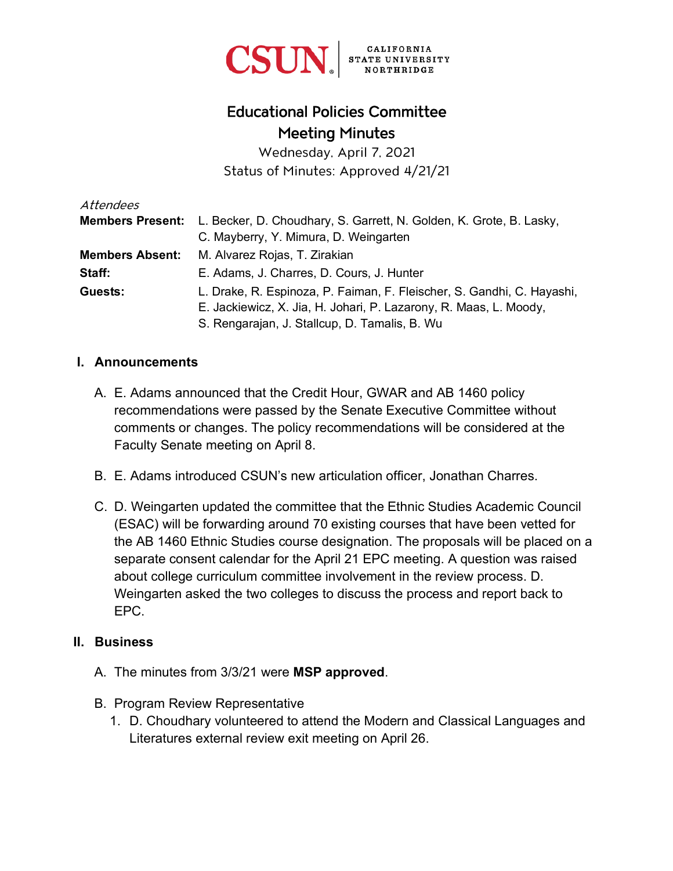

# Educational Policies Committee Meeting Minutes

Wednesday, April 7, 2021 Status of Minutes: Approved 4/21/21

| Attendees              |                                                                                             |
|------------------------|---------------------------------------------------------------------------------------------|
|                        | <b>Members Present:</b> L. Becker, D. Choudhary, S. Garrett, N. Golden, K. Grote, B. Lasky, |
|                        | C. Mayberry, Y. Mimura, D. Weingarten                                                       |
| <b>Members Absent:</b> | M. Alvarez Rojas, T. Zirakian                                                               |
| Staff:                 | E. Adams, J. Charres, D. Cours, J. Hunter                                                   |
| Guests:                | L. Drake, R. Espinoza, P. Faiman, F. Fleischer, S. Gandhi, C. Hayashi,                      |
|                        | E. Jackiewicz, X. Jia, H. Johari, P. Lazarony, R. Maas, L. Moody,                           |
|                        | S. Rengarajan, J. Stallcup, D. Tamalis, B. Wu                                               |

### **I. Announcements**

- A. E. Adams announced that the Credit Hour, GWAR and AB 1460 policy recommendations were passed by the Senate Executive Committee without comments or changes. The policy recommendations will be considered at the Faculty Senate meeting on April 8.
- B. E. Adams introduced CSUN's new articulation officer, Jonathan Charres.
- C. D. Weingarten updated the committee that the Ethnic Studies Academic Council (ESAC) will be forwarding around 70 existing courses that have been vetted for the AB 1460 Ethnic Studies course designation. The proposals will be placed on a separate consent calendar for the April 21 EPC meeting. A question was raised about college curriculum committee involvement in the review process. D. Weingarten asked the two colleges to discuss the process and report back to EPC.

#### **II. Business**

- A. The minutes from 3/3/21 were **MSP approved**.
- B. Program Review Representative
	- 1. D. Choudhary volunteered to attend the Modern and Classical Languages and Literatures external review exit meeting on April 26.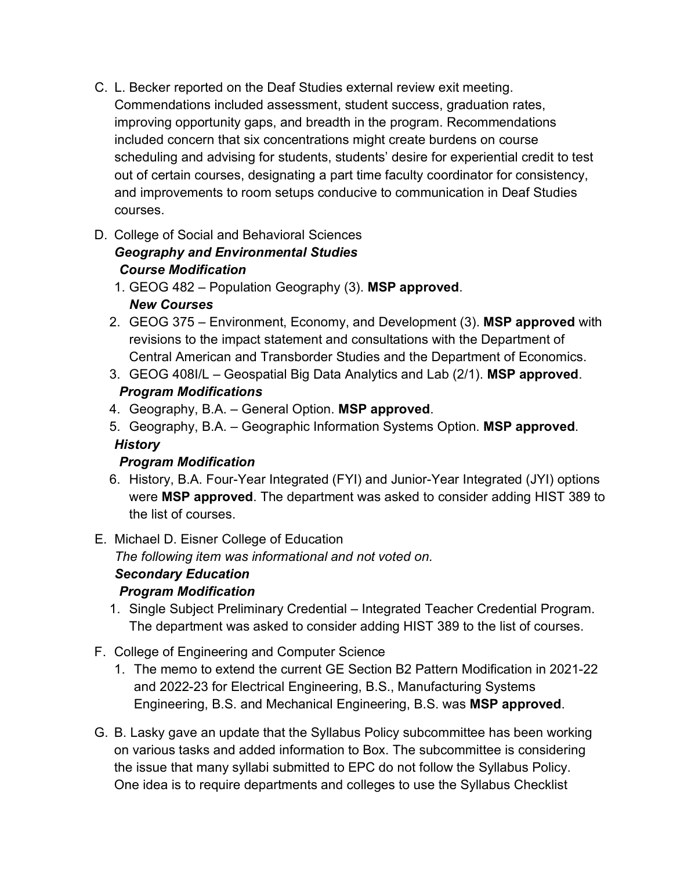- C. L. Becker reported on the Deaf Studies external review exit meeting. Commendations included assessment, student success, graduation rates, improving opportunity gaps, and breadth in the program. Recommendations included concern that six concentrations might create burdens on course scheduling and advising for students, students' desire for experiential credit to test out of certain courses, designating a part time faculty coordinator for consistency, and improvements to room setups conducive to communication in Deaf Studies courses.
- D. College of Social and Behavioral Sciences *Geography and Environmental Studies Course Modification*
	- 1. GEOG 482 Population Geography (3). **MSP approved**. *New Courses*
	- 2. GEOG 375 Environment, Economy, and Development (3). **MSP approved** with revisions to the impact statement and consultations with the Department of Central American and Transborder Studies and the Department of Economics.
	- 3. GEOG 408I/L Geospatial Big Data Analytics and Lab (2/1). **MSP approved**. *Program Modifications*
	- 4. Geography, B.A. General Option. **MSP approved**.
	- 5. Geography, B.A. Geographic Information Systems Option. **MSP approved**. *History*

## *Program Modification*

- 6. History, B.A. Four-Year Integrated (FYI) and Junior-Year Integrated (JYI) options were **MSP approved**. The department was asked to consider adding HIST 389 to the list of courses.
- E. Michael D. Eisner College of Education *The following item was informational and not voted on.*

#### *Secondary Education Program Modification*

- 1. Single Subject Preliminary Credential Integrated Teacher Credential Program. The department was asked to consider adding HIST 389 to the list of courses.
- F. College of Engineering and Computer Science
	- 1. The memo to extend the current GE Section B2 Pattern Modification in 2021-22 and 2022-23 for Electrical Engineering, B.S., Manufacturing Systems Engineering, B.S. and Mechanical Engineering, B.S. was **MSP approved**.
- G. B. Lasky gave an update that the Syllabus Policy subcommittee has been working on various tasks and added information to Box. The subcommittee is considering the issue that many syllabi submitted to EPC do not follow the Syllabus Policy. One idea is to require departments and colleges to use the Syllabus Checklist